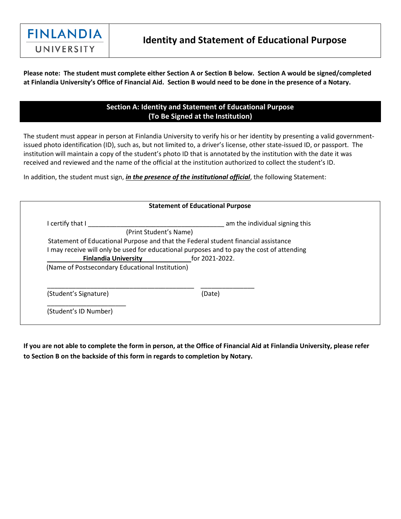

**Please note: The student must complete either Section A or Section B below. Section A would be signed/completed at Finlandia University's Office of Financial Aid. Section B would need to be done in the presence of a Notary.**

## **Section A: Identity and Statement of Educational Purpose (To Be Signed at the Institution)**

The student must appear in person at Finlandia University to verify his or her identity by presenting a valid governmentissued photo identification (ID), such as, but not limited to, a driver's license, other state-issued ID, or passport. The institution will maintain a copy of the student's photo ID that is annotated by the institution with the date it was received and reviewed and the name of the official at the institution authorized to collect the student's ID.

In addition, the student must sign, *in the presence of the institutional official*, the following Statement:

| <b>Statement of Educational Purpose</b>         |                                                                                           |
|-------------------------------------------------|-------------------------------------------------------------------------------------------|
| I certify that I                                | am the individual signing this                                                            |
|                                                 | (Print Student's Name)                                                                    |
|                                                 | Statement of Educational Purpose and that the Federal student financial assistance        |
|                                                 | I may receive will only be used for educational purposes and to pay the cost of attending |
| <b>Finlandia University</b>                     | for 2021-2022.                                                                            |
| (Name of Postsecondary Educational Institution) |                                                                                           |
| (Student's Signature)                           | (Date)                                                                                    |
| (Student's ID Number)                           |                                                                                           |

**If you are not able to complete the form in person, at the Office of Financial Aid at Finlandia University, please refer to Section B on the backside of this form in regards to completion by Notary.**